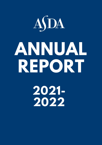

# **ANNUAL REPORT**

**2021- 2022**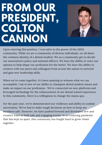### **FROM OUR PRESIDENT, COLTON CANNON**



Upon entering this position, I was naïve to the power of the ASDA community. While we are a community of diverse individuals, we all share the common identity of a dental student. We as a community get to decide our association's policy and national officers. We have the ability to voice our opinion to help shape our profession for the better. We have the ability to connect with our peers and colleagues from across the nation to network and gain new leadership skills.

When we've come together, it's been amazing to witness what we can accomplish. I am in awe of our ability to champion dental student issues and make an impact on our profession. We've connected on new platforms and leveraged technology for the enhancement of our dental school experience. In this community, there is a willingness to change the status quo.

For the past year, we've demonstrated our resilience and ability to combat uncertainty. We've had to make tough decisions on how to keep our members safe. However, we have pushed forward and developed new and creative ways to hold safe and engaging events. In an enduring pandemic that has kept us apart, this community has fought hard to grow closer together.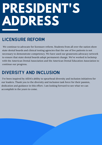## **PRESIDENT'S ADDRESS**

#### LICENSURE REFORM

We continue to advocate for licensure reform. Students from all over the nation show state dental boards and clinical testing agencies that the use of live patients is not necessary to demonstrate competency. We have used our grassroots advocacy network to ensure that state dental boards adopt permanent change. We've worked in lockstep with the American Dental Association and the American Dental Education Association to continue our progress.

#### DIVERSITY AND INCLUSION

I've been inspired by ASDA's ability to spearhead diversity and inclusion initiatives for our leaders. Thank you to the diversity and inclusion task force for their passion, dedication and guidance in this effort. I am looking forward to see what we can accomplish in the years to come.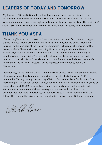#### LEADERS OF TODAY AND TOMORROW

My tenure as ASDA's National President has been an honor and a privilege. I have learned that my success as a leader is rooted in the success of others. I've enjoyed watching members reach their highest potential within the organization. The best thing about ASDA's culture is our ability to cultivate the leaders of today and tomorrow.

#### THANK YOU, ASDA

The accomplishments of the association are very much a team effort. I want to to give thanks to those leaders around me who have walked alongside me on my leadership journey. To the members of the Executive Committee- Sebastian Celis, speaker of the house, Michelle Skelton, vice president, Joy Nisnisan, vice president and Nancy Honeycutt, executive director, your dedication to the organization is something all members should appreciate. The late-night calls and meetings are memories I will continue to cherish. I know I can always turn to you for advice and wisdom. I would also like to thank the Board of Trustees. I am so impressed by your ability serve the association.

Additionally, I want to thank the ASDA staff for their efforts. They truly are the backbone of this association. Finally and most importantly, I would like to thank the ASDA community. Throughout my time serving ASDA, you've become like a family to me. I am incredibly grateful for your support and guidance. I am excited to welcome a new group of leaders for the 2022-2023 year and serve in my new position as the Immediate Past President. It is here on our 50th anniversary that we look back on all we have accomplished, but more importantly, we look forward to all we will accomplish in the future. Thank you all for giving me the opportunity to serve as your National President.

Polter & Caver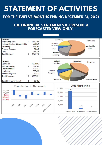### **STATEMENT OF ACTIVITIES**

#### **FOR THE TWELVE MONTHS ENDING DECEMBER 31, 2021**

#### **THE FINANCIAL STATEMENTS REPRESENT A FORECASTED VIEW ONLY.**

| <b>Advertising</b><br>Revenue<br>Program<br><b>Sponsors</b><br><b>Membership</b><br><b>Dues</b><br>Other<br><b>National</b><br><b>Meetings</b> |  |
|------------------------------------------------------------------------------------------------------------------------------------------------|--|
| <b>National</b><br><b>Operations</b><br>Expense<br><b>Meetings</b><br><b>Member</b><br>Programs<br>Leadership<br><b>Communications</b>         |  |
| 2021 Membership<br><b>Contribution to Net Assets</b><br>25,000<br>21,468<br>20,000<br>15,000<br>10,000<br>2020 Forecast<br>5,000<br>954<br>6   |  |
|                                                                                                                                                |  |

Predoctoral Predental International

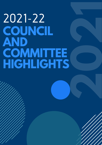## 2021-22 **COUNCIL AND COMMITTEE HIGHLIGHTS**

**2**

**220** 

**1**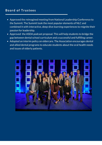#### **Board of Trus tees**

- Approved the reimagined meeting from National Leadership Conference to the Summit. The Summit took the most popular elements of NLC and combined it with interactive, deep-dive learning experiences to reignite their passion for leadership.
- Approved the ASDA podcast proposal. This will help students to bridge the gap between dental school curriculum and a successful and fulfilling career.
- Adopted an interim policy on eldercare. The Association encourages dental and allied dental programs to educate students about the oral health needs and issues of elderly patients.

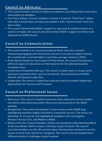#### **Council on Advocacy**

- The council hosted a variety of advocacy webinars, providing timely and useful information to members.
- Fast Facts Videos: Council members created 1-3 minute "Fast Facts" videos that take a broad topic and educate members with "need to know" facts in a short video.
- The council determined ASDA's support to sign onto 8 coalition letters on a variety of topics; the council also determined ASDA's support of 8 bills to be displayed on ASDA Action

#### **Council on Communications**

- The council honed in on creating Instagram Reels and story content showcasing engaging and informative content in an easy-to-digest manner. All created reels received higher reach than average content in 2021.
- Pride Month Initiative: Each week of Pride Month, the council focused on a different aspect of education to film/research for the @dentalstudents Instagram story.
- Conference Promotions/Recaps: The council created reels to recap events and also to promote them, such as the Summit, Annual Session and ADA Dentist and Student Lobby Day
- Leadership: The council created two separate reels to promote leadership applications for Councils and Trustees.

#### **Counc il on Profes s ional I s sues**

- Resources: The council compiled resources that community service leaders can utilize when planning events. Resources were placed on the ASDA website.
- Recognition: The council developed a 3-part series on the ASDA blog highlighting members highly involved in community service. The series ran November 8, 15 and 22, and highlighted members from Los Angeles, Missouri-Kansas City, and Meharry ASDA.
- Week of Service: Council members filmed a promotional video detailing Week of Service theme, what to expect, and ways to get involved. The council recruited members to film 30-second videos sharing what community service means to them to be shared on Instagram. The council also developed three different levels of challenges to get involved.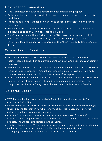#### **Governance Committee**

- The Committee reviewed the governance documents and proposes:
- Additional language to differentiate Executive Committee and District Trustee candidacies.
- Proposes additional language to clarify the purpose and objective of district caucuses.
- Proposes edits to Current Statements of Position or Policy to become more inclusive and to align with a post-pandemic world.
- The Committee made it a priority to edit ASDA's governing documents to be more inclusive (i.e. 'his/her' to 'their'). These edits will appear in ASDA's governing documents and will be shared on the ASDA website following Annual Session.

#### **Committee on Ses s ions**

- Annual Session theme: The Committee selected the 2022 Annual Session theme, Fifty & Forward, in celebration of ASDA's 50th Anniversary year coming to a close.
- New educational sessions: The Committee developed new educational breakout sessions to be presented at Annual Session, focusing on providing training to chapter leaders in areas critical to the success of a chapter.
- Educational material: In collaboration with the Council on Communications, the Committee developed a video intended to help members understand who comprises the House of Delegates and what their role is at Annual Session.

#### **Editor ial Board**

- 75% dental school inclusion. A total of 49 out of 66 dental schools wrote for Contour or ASDA Blog.
- Diverse imagery. The Editorial Board ensured both publications used stock images that represent dentistry in its full diversity and avoided images that reinforce outdated gender stereotypes in medicine.
- Content focus updates. Contour introduced a new department (History of Dentistry) and changed the focus of Science + Tech 2 to student research or student projects. The Student Life section now has themes.
- Digital enhancements. Writers and editors increasingly requested to insert dynamic media such as creating original videos, like a video on simple stretches to accompany the Wellness article in the Nov/Dec issue of Contour.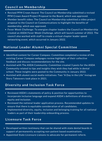#### **Council on Membership**

- Revised PFM Crown Award: The Council on Membership submitted a revised PFM Crown Award Project Proposal to the Board, which was approved.
- Member benefit video: The Council on Membership submitted a video project proposal to the Council on Communications to highlight the benefits of membership, which was approved.
- Fever Week Challenge: To energize chapter leaders the Council on Membership created an ASDA Fever Week Challenge, which will launch summer of 2022. The council also worked with staff to create a virtual chapter leader speed networking event, which occurred in January 2022.

#### **National Leader Alumni Spec ial Committee**

- Identified content for Career Compass: Committee completed a review of the existing Career Compass webpages review highlights of their collective feedback and discuss recommendations for the site.
- Assisted with The ASDA Community: Committee created 3 posts for the ASDA Community related to tips and insights they wish they had while in dental school. These insights were posted to the Community in January 2022.
- Assisted with alumni social media initiatives: Two "A Day in the Life" Instagram Story Takeovers took place in 2021.

#### **Diver s ity and Inc lus ion Task For ce**

- Reviewed ASDA's statements of policy & position for opportunities to incorporate inclusive language and expand ASDA's definitions of diversity, equity and inclusion.
- Reviewed the national leader application process. Recommended updates to ensure that there is equitable consideration of all candidates.
- Implemented diversity, equity, inclusion and belonging training for all national leaders as part of their leadership onboarding process.

#### **L i censure Task For ce**

- Developed written testimony that can be shared with state dental boards in support of permanently accepting non-patient based examinations.
- Appointed State Licensure Liaisons to advocate for permanent reform.